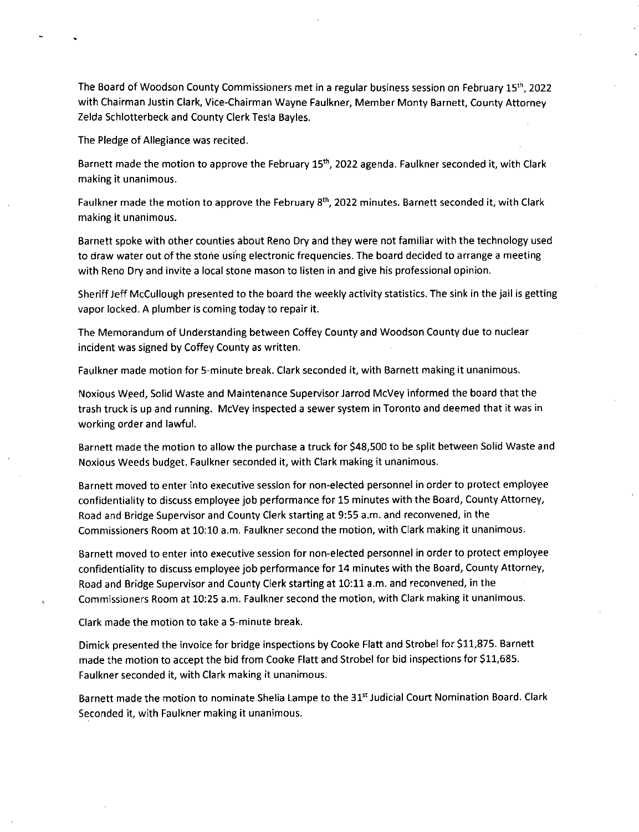The Board of Woodson County Commissioners met in a regular business session on February 15th, 2022 with Chairman Justin Clark, Vice-Chairman Wayne Faulkner, Member Monty Barnett, County Attorney Zelda Schlotterbeck and County Clerk Tesla Bayles.

The Pledge of Allegiance was recited.

Barnett made the motion to approve the February 15<sup>th</sup>, 2022 agenda. Faulkner seconded it, with Clark making it unanimous.

Faulkner made the motion to approve the February 8<sup>th</sup>, 2022 minutes. Barnett seconded it, with Clark making it unanimous.

Barnett spoke with other counties about Reno Dry and they were not familiar with the technology used to draw water out of the stone using electronic frequencies. The board decided to arrange a meeting with Reno Dry and invite a local stone mason to listen in and give his professional opinion.

Sheriff Jeff McCullough presented to the board the weekly activity statistics. The sink in the jail is getting vapor locked. A plumber is coming today to repair it.

The Memorandum of Understanding between Coffey County and Woodson County due to nuclear incident was signed by Coffey County as written.

Faulkner made motion for 5-minute break. Clark seconded it, with Barnett making it unanimous.

Noxious Weed, Solid Waste and Maintenance Supervisor Jarrod McVey informed the board that the trash truck is up and running. McVey inspected a sewer system in Toronto and deemed that it was in working order and lawful.

Barnett made the motion to allow the purchase a truck for \$48,500 to be split between Solid Waste and Noxious Weeds budget. Faulkner seconded it, with Clark making it unanimous.

Barnett moved to enter into executive session for non-elected personnel in order to protect employee confidentiality to discuss employee job performance for 15 minutes with the Board, County Attorney, Road and Bridge Supervisor and County Clerk starting at 9:55 a.m. and reconvened, in the Commissioners Room at 10:10 a.m. Faulkner second the motion, with Clark making it unanimous.

Barnett moved to enter into executive session for non-elected personnel in order to protect employee confidentiality to discuss employee job performance for 14 minutes with the Board, County Attorney, Road and Bridge Supervisor and County Clerk starting at 10:11 a.m. and reconvened, in the Commissioners Room at 10:25 a.m. Faulkner second the motion, with Clark making it unanimous.

Clark made the motion to take a 5-minute break.

Dimick presented the invoice for bridge inspections by Cooke Flatt and Strobel for \$11,875. Barnett made the motion to accept the bid from Cooke Flatt and Strobel for bid inspections for \$11,685. Faulkner seconded it, with Clark making it unanimous.

Barnett made the motion to nominate Shelia Lampe to the 31<sup>st</sup> Judicial Court Nomination Board. Clark Seconded it, with Faulkner making it unanimous.